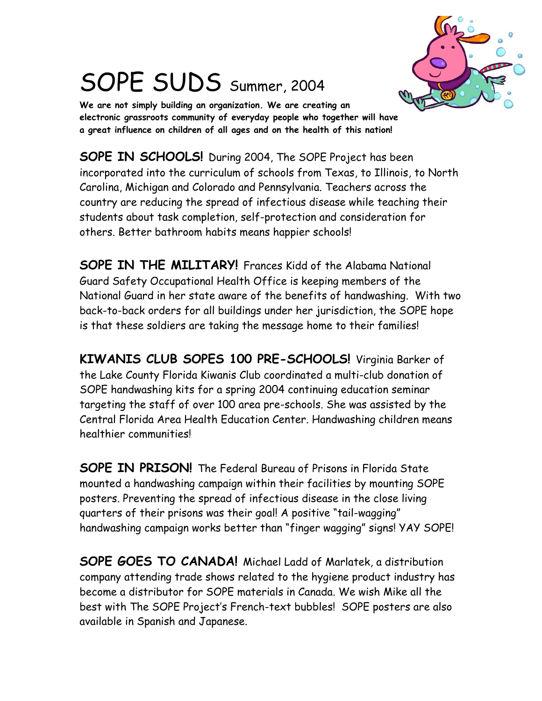

## SOPE SUDS Summer, 2004

**We are not simply building an organization. We are creating an electronic grassroots community of everyday people who together will have a great influence on children of all ages and on the health of this nation!**

**SOPE IN SCHOOLS!** During 2004, The SOPE Project has been incorporated into the curriculum of schools from Texas, to Illinois, to North Carolina, Michigan and Colorado and Pennsylvania. Teachers across the country are reducing the spread of infectious disease while teaching their students about task completion, self-protection and consideration for others. Better bathroom habits means happier schools!

**SOPE IN THE MILITARY!** Frances Kidd of the Alabama National Guard Safety Occupational Health Office is keeping members of the National Guard in her state aware of the benefits of handwashing. With two back-to-back orders for all buildings under her jurisdiction, the SOPE hope is that these soldiers are taking the message home to their families!

**KIWANIS CLUB SOPES 100 PRE-SCHOOLS!** Virginia Barker of the Lake County Florida Kiwanis Club coordinated a multi-club donation of SOPE handwashing kits for a spring 2004 continuing education seminar targeting the staff of over 100 area pre-schools. She was assisted by the Central Florida Area Health Education Center. Handwashing children means healthier communities!

**SOPE IN PRISON!** The Federal Bureau of Prisons in Florida State mounted a handwashing campaign within their facilities by mounting SOPE posters. Preventing the spread of infectious disease in the close living quarters of their prisons was their goal! A positive "tail-wagging" handwashing campaign works better than "finger wagging" signs! YAY SOPE!

**SOPE GOES TO CANADA!** Michael Ladd of Marlatek, a distribution company attending trade shows related to the hygiene product industry has become a distributor for SOPE materials in Canada. We wish Mike all the best with The SOPE Project's French-text bubbles! SOPE posters are also available in Spanish and Japanese.